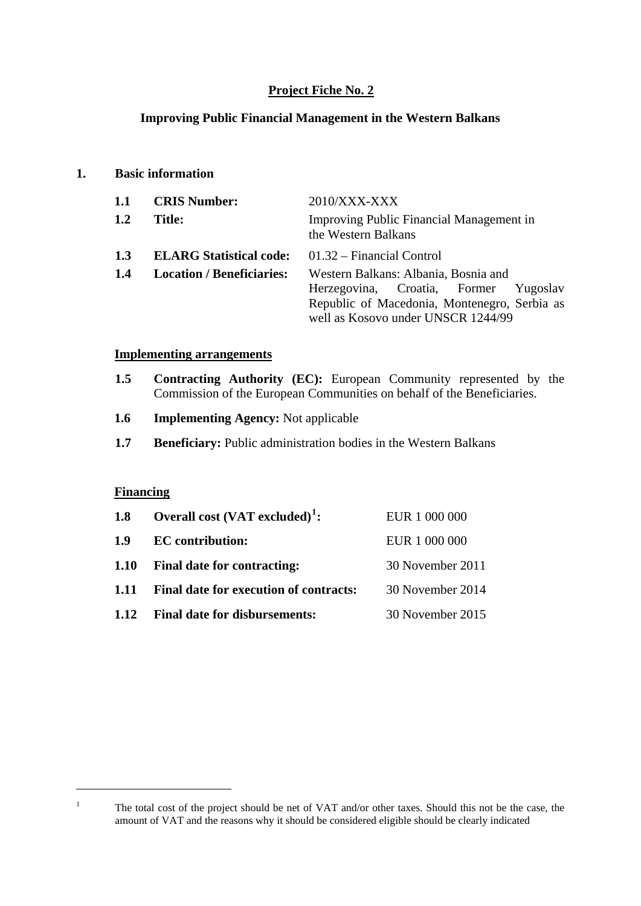## **Project Fiche No. 2**

#### **Improving Public Financial Management in the Western Balkans**

#### **1. Basic information**

| <b>CRIS Number:</b>              | $2010/XXX-XXX$                                                                     |  |  |  |
|----------------------------------|------------------------------------------------------------------------------------|--|--|--|
| <b>Title:</b>                    | Improving Public Financial Management in<br>the Western Balkans                    |  |  |  |
| <b>ELARG Statistical code:</b>   | $01.32$ – Financial Control                                                        |  |  |  |
| <b>Location / Beneficiaries:</b> | Western Balkans: Albania, Bosnia and                                               |  |  |  |
|                                  | Herzegovina, Croatia, Former Yugoslav                                              |  |  |  |
|                                  | Republic of Macedonia, Montenegro, Serbia as<br>well as Kosovo under UNSCR 1244/99 |  |  |  |
|                                  |                                                                                    |  |  |  |

#### **Implementing arrangements**

- **1.5 Contracting Authority (EC):** European Community represented by the Commission of the European Communities on behalf of the Beneficiaries.
- **1.6 Implementing Agency:** Not applicable
- **1.7** Beneficiary: Public administration bodies in the Western Balkans

#### **Financing**

| 1.8         | Overall cost $(VAT$ excluded) <sup>1</sup> : | EUR 1 000 000    |
|-------------|----------------------------------------------|------------------|
| 1.9         | <b>EC</b> contribution:                      | EUR 1 000 000    |
| <b>1.10</b> | <b>Final date for contracting:</b>           | 30 November 2011 |
| 1.11        | Final date for execution of contracts:       | 30 November 2014 |
| 1.12        | <b>Final date for disbursements:</b>         | 30 November 2015 |

<span id="page-0-0"></span><u>.</u> 1

The total cost of the project should be net of VAT and/or other taxes. Should this not be the case, the amount of VAT and the reasons why it should be considered eligible should be clearly indicated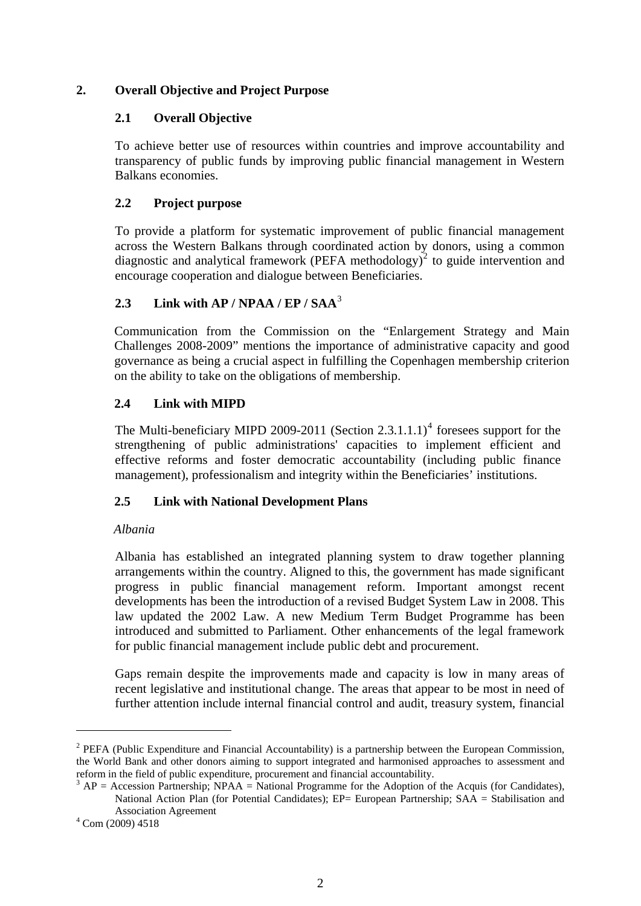## **2. Overall Objective and Project Purpose**

## **2.1 Overall Objective**

To achieve better use of resources within countries and improve accountability and transparency of public funds by improving public financial management in Western Balkans economies.

## **2.2 Project purpose**

To provide a platform for systematic improvement of public financial management across the Western Balkans through coordinated action by donors, using a common diagnostic and analytical framework (PEFA methodology)<sup>[2](#page-1-0)</sup> to guide intervention and encourage cooperation and dialogue between Beneficiaries.

## **2.3 Link with AP / NPAA / EP / SAA**[3](#page-1-1)

Communication from the Commission on the "Enlargement Strategy and Main Challenges 2008-2009" mentions the importance of administrative capacity and good governance as being a crucial aspect in fulfilling the Copenhagen membership criterion on the ability to take on the obligations of membership.

## **2.4 Link with MIPD**

The Multi-beneficiary MIPD 2009-2011 (Section 2.3.1.1.1)<sup>[4](#page-1-2)</sup> foresees support for the strengthening of public administrations' capacities to implement efficient and effective reforms and foster democratic accountability (including public finance management), professionalism and integrity within the Beneficiaries' institutions.

## **2.5 Link with National Development Plans**

## *Albania*

Albania has established an integrated planning system to draw together planning arrangements within the country. Aligned to this, the government has made significant progress in public financial management reform. Important amongst recent developments has been the introduction of a revised Budget System Law in 2008. This law updated the 2002 Law. A new Medium Term Budget Programme has been introduced and submitted to Parliament. Other enhancements of the legal framework for public financial management include public debt and procurement.

Gaps remain despite the improvements made and capacity is low in many areas of recent legislative and institutional change. The areas that appear to be most in need of further attention include internal financial control and audit, treasury system, financial

1

<span id="page-1-0"></span><sup>&</sup>lt;sup>2</sup> PEFA (Public Expenditure and Financial Accountability) is a partnership between the European Commission, the World Bank and other donors aiming to support integrated and harmonised approaches to assessment and reform in the field of public expenditure, procurement and financial accountability.

<span id="page-1-1"></span> $A^3$  AP = Accession Partnership; NPAA = National Programme for the Adoption of the Acquis (for Candidates), National Action Plan (for Potential Candidates); EP= European Partnership; SAA = Stabilisation and Association Agreement

<span id="page-1-2"></span> $4$  Com (2009) 4518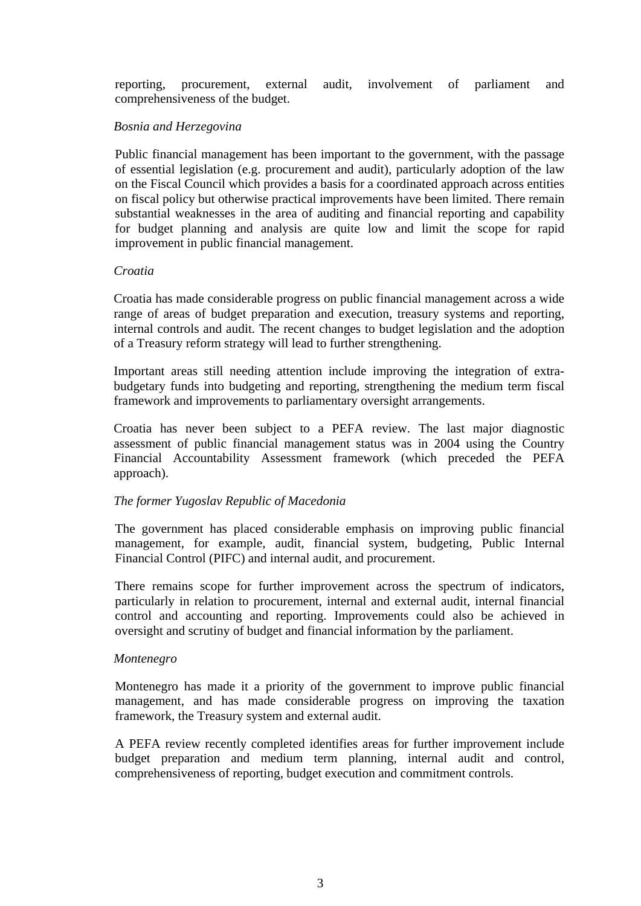reporting, procurement, external audit, involvement of parliament and comprehensiveness of the budget.

#### *Bosnia and Herzegovina*

Public financial management has been important to the government, with the passage of essential legislation (e.g. procurement and audit), particularly adoption of the law on the Fiscal Council which provides a basis for a coordinated approach across entities on fiscal policy but otherwise practical improvements have been limited. There remain substantial weaknesses in the area of auditing and financial reporting and capability for budget planning and analysis are quite low and limit the scope for rapid improvement in public financial management.

#### *Croatia*

Croatia has made considerable progress on public financial management across a wide range of areas of budget preparation and execution, treasury systems and reporting, internal controls and audit. The recent changes to budget legislation and the adoption of a Treasury reform strategy will lead to further strengthening.

Important areas still needing attention include improving the integration of extrabudgetary funds into budgeting and reporting, strengthening the medium term fiscal framework and improvements to parliamentary oversight arrangements.

Croatia has never been subject to a PEFA review. The last major diagnostic assessment of public financial management status was in 2004 using the Country Financial Accountability Assessment framework (which preceded the PEFA approach).

#### *The former Yugoslav Republic of Macedonia*

The government has placed considerable emphasis on improving public financial management, for example, audit, financial system, budgeting, Public Internal Financial Control (PIFC) and internal audit, and procurement.

There remains scope for further improvement across the spectrum of indicators, particularly in relation to procurement, internal and external audit, internal financial control and accounting and reporting. Improvements could also be achieved in oversight and scrutiny of budget and financial information by the parliament.

#### *Montenegro*

Montenegro has made it a priority of the government to improve public financial management, and has made considerable progress on improving the taxation framework, the Treasury system and external audit.

A PEFA review recently completed identifies areas for further improvement include budget preparation and medium term planning, internal audit and control, comprehensiveness of reporting, budget execution and commitment controls.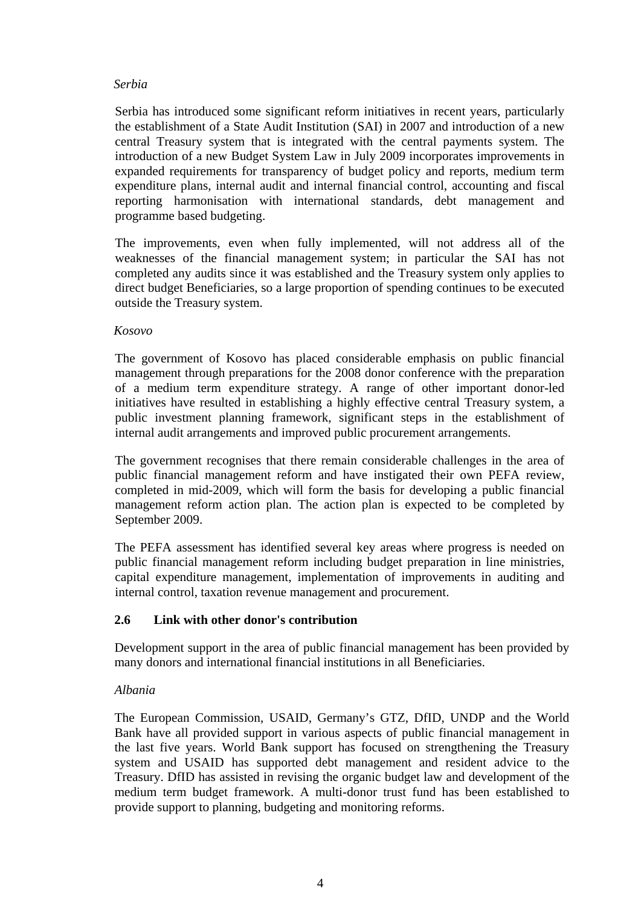#### *Serbia*

Serbia has introduced some significant reform initiatives in recent years, particularly the establishment of a State Audit Institution (SAI) in 2007 and introduction of a new central Treasury system that is integrated with the central payments system. The introduction of a new Budget System Law in July 2009 incorporates improvements in expanded requirements for transparency of budget policy and reports, medium term expenditure plans, internal audit and internal financial control, accounting and fiscal reporting harmonisation with international standards, debt management and programme based budgeting.

The improvements, even when fully implemented, will not address all of the weaknesses of the financial management system; in particular the SAI has not completed any audits since it was established and the Treasury system only applies to direct budget Beneficiaries, so a large proportion of spending continues to be executed outside the Treasury system.

#### *Kosovo*

The government of Kosovo has placed considerable emphasis on public financial management through preparations for the 2008 donor conference with the preparation of a medium term expenditure strategy. A range of other important donor-led initiatives have resulted in establishing a highly effective central Treasury system, a public investment planning framework, significant steps in the establishment of internal audit arrangements and improved public procurement arrangements.

The government recognises that there remain considerable challenges in the area of public financial management reform and have instigated their own PEFA review, completed in mid-2009, which will form the basis for developing a public financial management reform action plan. The action plan is expected to be completed by September 2009.

The PEFA assessment has identified several key areas where progress is needed on public financial management reform including budget preparation in line ministries, capital expenditure management, implementation of improvements in auditing and internal control, taxation revenue management and procurement.

## **2.6 Link with other donor's contribution**

Development support in the area of public financial management has been provided by many donors and international financial institutions in all Beneficiaries.

## *Albania*

The European Commission, USAID, Germany's GTZ, DfID, UNDP and the World Bank have all provided support in various aspects of public financial management in the last five years. World Bank support has focused on strengthening the Treasury system and USAID has supported debt management and resident advice to the Treasury. DfID has assisted in revising the organic budget law and development of the medium term budget framework. A multi-donor trust fund has been established to provide support to planning, budgeting and monitoring reforms.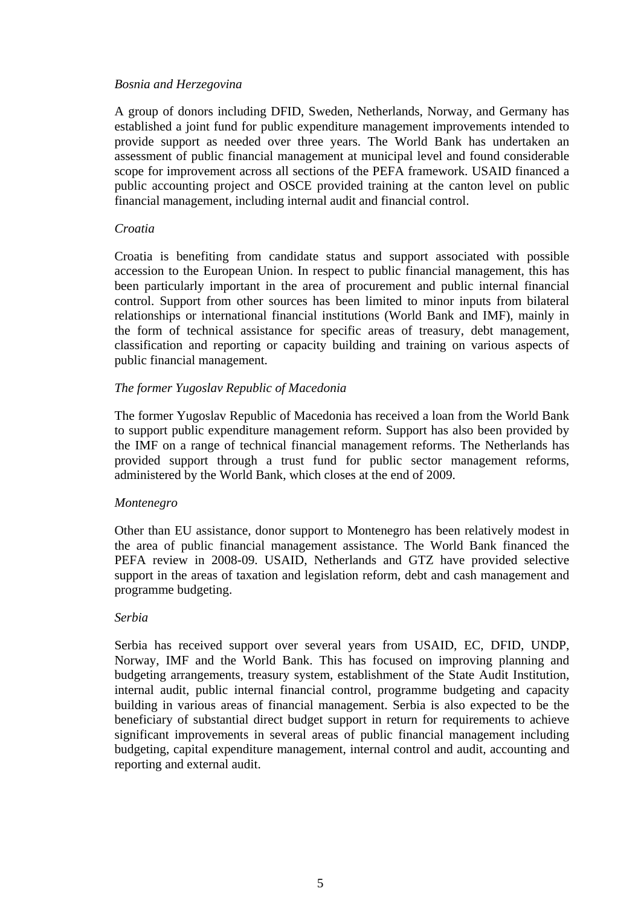#### *Bosnia and Herzegovina*

A group of donors including DFID, Sweden, Netherlands, Norway, and Germany has established a joint fund for public expenditure management improvements intended to provide support as needed over three years. The World Bank has undertaken an assessment of public financial management at municipal level and found considerable scope for improvement across all sections of the PEFA framework. USAID financed a public accounting project and OSCE provided training at the canton level on public financial management, including internal audit and financial control.

#### *Croatia*

Croatia is benefiting from candidate status and support associated with possible accession to the European Union. In respect to public financial management, this has been particularly important in the area of procurement and public internal financial control. Support from other sources has been limited to minor inputs from bilateral relationships or international financial institutions (World Bank and IMF), mainly in the form of technical assistance for specific areas of treasury, debt management, classification and reporting or capacity building and training on various aspects of public financial management.

#### *The former Yugoslav Republic of Macedonia*

The former Yugoslav Republic of Macedonia has received a loan from the World Bank to support public expenditure management reform. Support has also been provided by the IMF on a range of technical financial management reforms. The Netherlands has provided support through a trust fund for public sector management reforms, administered by the World Bank, which closes at the end of 2009.

#### *Montenegro*

Other than EU assistance, donor support to Montenegro has been relatively modest in the area of public financial management assistance. The World Bank financed the PEFA review in 2008-09. USAID, Netherlands and GTZ have provided selective support in the areas of taxation and legislation reform, debt and cash management and programme budgeting.

#### *Serbia*

Serbia has received support over several years from USAID, EC, DFID, UNDP, Norway, IMF and the World Bank. This has focused on improving planning and budgeting arrangements, treasury system, establishment of the State Audit Institution, internal audit, public internal financial control, programme budgeting and capacity building in various areas of financial management. Serbia is also expected to be the beneficiary of substantial direct budget support in return for requirements to achieve significant improvements in several areas of public financial management including budgeting, capital expenditure management, internal control and audit, accounting and reporting and external audit.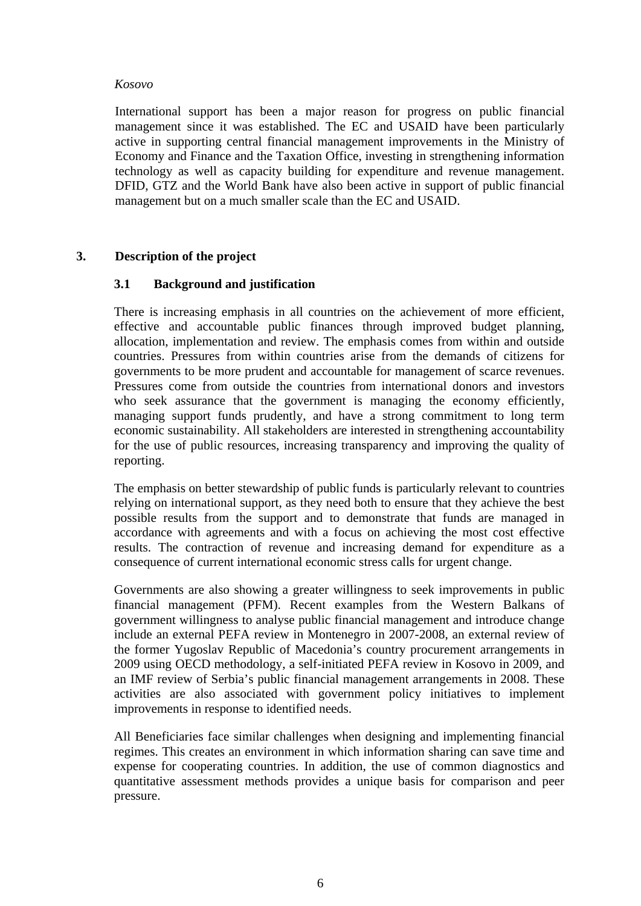#### *Kosovo*

International support has been a major reason for progress on public financial management since it was established. The EC and USAID have been particularly active in supporting central financial management improvements in the Ministry of Economy and Finance and the Taxation Office, investing in strengthening information technology as well as capacity building for expenditure and revenue management. DFID, GTZ and the World Bank have also been active in support of public financial management but on a much smaller scale than the EC and USAID.

## **3. Description of the project**

#### **3.1 Background and justification**

There is increasing emphasis in all countries on the achievement of more efficient, effective and accountable public finances through improved budget planning, allocation, implementation and review. The emphasis comes from within and outside countries. Pressures from within countries arise from the demands of citizens for governments to be more prudent and accountable for management of scarce revenues. Pressures come from outside the countries from international donors and investors who seek assurance that the government is managing the economy efficiently, managing support funds prudently, and have a strong commitment to long term economic sustainability. All stakeholders are interested in strengthening accountability for the use of public resources, increasing transparency and improving the quality of reporting.

The emphasis on better stewardship of public funds is particularly relevant to countries relying on international support, as they need both to ensure that they achieve the best possible results from the support and to demonstrate that funds are managed in accordance with agreements and with a focus on achieving the most cost effective results. The contraction of revenue and increasing demand for expenditure as a consequence of current international economic stress calls for urgent change.

Governments are also showing a greater willingness to seek improvements in public financial management (PFM). Recent examples from the Western Balkans of government willingness to analyse public financial management and introduce change include an external PEFA review in Montenegro in 2007-2008, an external review of the former Yugoslav Republic of Macedonia's country procurement arrangements in 2009 using OECD methodology, a self-initiated PEFA review in Kosovo in 2009, and an IMF review of Serbia's public financial management arrangements in 2008. These activities are also associated with government policy initiatives to implement improvements in response to identified needs.

All Beneficiaries face similar challenges when designing and implementing financial regimes. This creates an environment in which information sharing can save time and expense for cooperating countries. In addition, the use of common diagnostics and quantitative assessment methods provides a unique basis for comparison and peer pressure.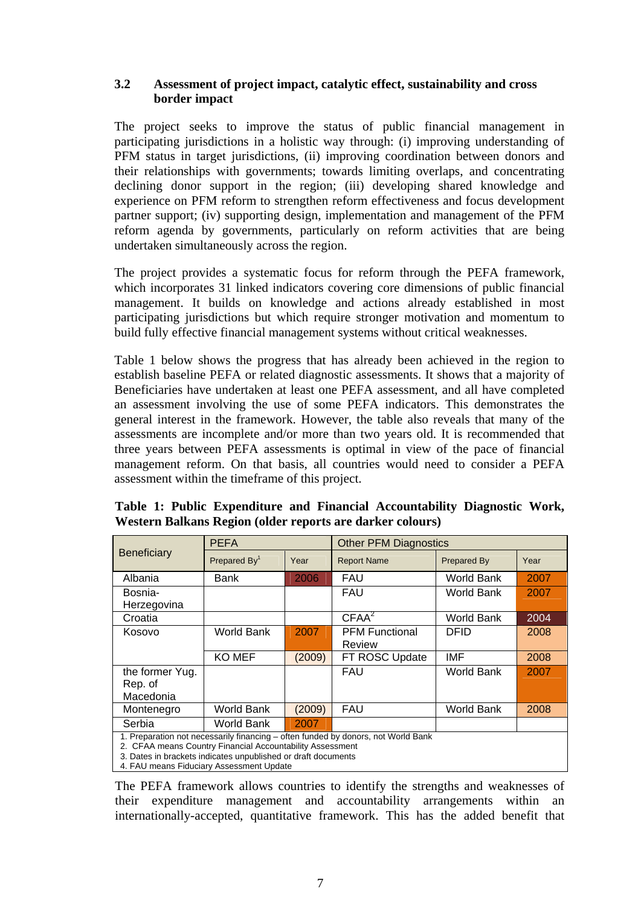#### **3.2 Assessment of project impact, catalytic effect, sustainability and cross border impact**

The project seeks to improve the status of public financial management in participating jurisdictions in a holistic way through: (i) improving understanding of PFM status in target jurisdictions, (ii) improving coordination between donors and their relationships with governments; towards limiting overlaps, and concentrating declining donor support in the region; (iii) developing shared knowledge and experience on PFM reform to strengthen reform effectiveness and focus development partner support; (iv) supporting design, implementation and management of the PFM reform agenda by governments, particularly on reform activities that are being undertaken simultaneously across the region.

The project provides a systematic focus for reform through the PEFA framework, which incorporates 31 linked indicators covering core dimensions of public financial management. It builds on knowledge and actions already established in most participating jurisdictions but which require stronger motivation and momentum to build fully effective financial management systems without critical weaknesses.

Table 1 below shows the progress that has already been achieved in the region to establish baseline PEFA or related diagnostic assessments. It shows that a majority of Beneficiaries have undertaken at least one PEFA assessment, and all have completed an assessment involving the use of some PEFA indicators. This demonstrates the general interest in the framework. However, the table also reveals that many of the assessments are incomplete and/or more than two years old. It is recommended that three years between PEFA assessments is optimal in view of the pace of financial management reform. On that basis, all countries would need to consider a PEFA assessment within the timeframe of this project.

|                                                                                                                                                                                                                                                             | <b>PEFA</b>    |        | <b>Other PFM Diagnostics</b> |                    |      |  |
|-------------------------------------------------------------------------------------------------------------------------------------------------------------------------------------------------------------------------------------------------------------|----------------|--------|------------------------------|--------------------|------|--|
| <b>Beneficiary</b>                                                                                                                                                                                                                                          | Prepared $By1$ | Year   | <b>Report Name</b>           | <b>Prepared By</b> | Year |  |
| Albania                                                                                                                                                                                                                                                     | Bank           | 2006   | FAU                          | World Bank         | 2007 |  |
| Bosnia-                                                                                                                                                                                                                                                     |                |        | <b>FAU</b>                   | World Bank         | 2007 |  |
| Herzegovina                                                                                                                                                                                                                                                 |                |        |                              |                    |      |  |
| Croatia                                                                                                                                                                                                                                                     |                |        | CFAA <sup>2</sup>            | World Bank         | 2004 |  |
| Kosovo                                                                                                                                                                                                                                                      | World Bank     | 2007   | <b>PFM Functional</b>        | <b>DFID</b>        | 2008 |  |
|                                                                                                                                                                                                                                                             |                |        | Review                       |                    |      |  |
|                                                                                                                                                                                                                                                             | KO MEF         | (2009) | FT ROSC Update               | IMF                | 2008 |  |
| the former Yug.                                                                                                                                                                                                                                             |                |        | <b>FAU</b>                   | World Bank         | 2007 |  |
| Rep. of                                                                                                                                                                                                                                                     |                |        |                              |                    |      |  |
| Macedonia                                                                                                                                                                                                                                                   |                |        |                              |                    |      |  |
| Montenegro                                                                                                                                                                                                                                                  | World Bank     | (2009) | <b>FAU</b>                   | World Bank         | 2008 |  |
| Serbia                                                                                                                                                                                                                                                      | World Bank     | 2007   |                              |                    |      |  |
| 1. Preparation not necessarily financing – often funded by donors, not World Bank<br>2. CFAA means Country Financial Accountability Assessment<br>3. Dates in brackets indicates unpublished or draft documents<br>4. FAU means Fiduciary Assessment Update |                |        |                              |                    |      |  |

**Table 1: Public Expenditure and Financial Accountability Diagnostic Work, Western Balkans Region (older reports are darker colours)** 

The PEFA framework allows countries to identify the strengths and weaknesses of their expenditure management and accountability arrangements within an internationally-accepted, quantitative framework. This has the added benefit that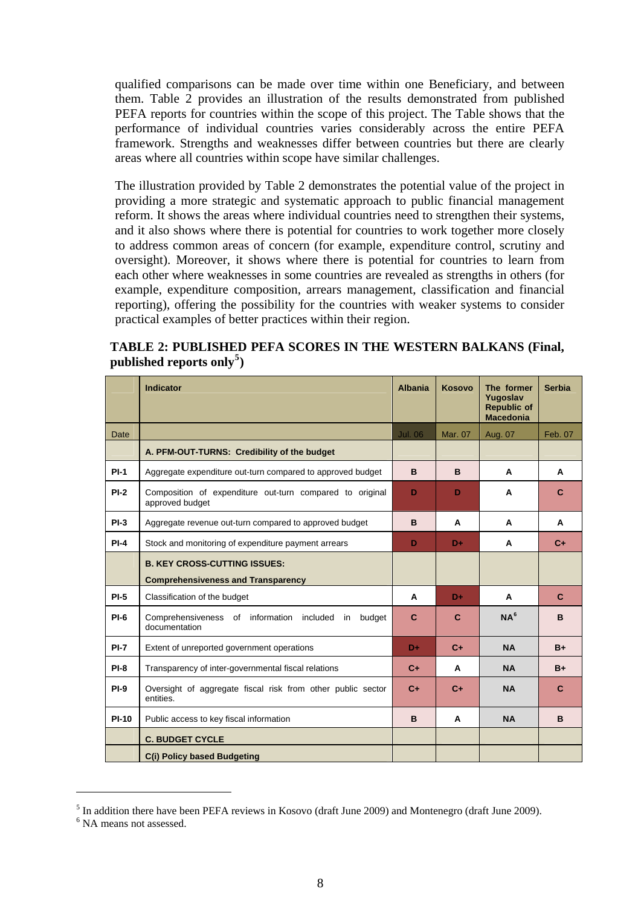<span id="page-7-0"></span>qualified comparisons can be made over time within one Beneficiary, and between them. Table 2 provides an illustration of the results demonstrated from published PEFA reports for countries within the scope of this project. The Table shows that the performance of individual countries varies considerably across the entire PEFA framework. Strengths and weaknesses differ between countries but there are clearly areas where all countries within scope have similar challenges.

The illustration provided by Table 2 demonstrates the potential value of the project in providing a more strategic and systematic approach to public financial management reform. It shows the areas where individual countries need to strengthen their systems, and it also shows where there is potential for countries to work together more closely to address common areas of concern (for example, expenditure control, scrutiny and oversight). Moreover, it shows where there is potential for countries to learn from each other where weaknesses in some countries are revealed as strengths in others (for example, expenditure composition, arrears management, classification and financial reporting), offering the possibility for the countries with weaker systems to consider practical examples of better practices within their region.

| TABLE 2: PUBLISHED PEFA SCORES IN THE WESTERN BALKANS (Final, |  |  |  |
|---------------------------------------------------------------|--|--|--|
| published reports only <sup>5</sup> )                         |  |  |  |

|              | <b>Indicator</b>                                                            | <b>Albania</b> | <b>Kosovo</b> | The former<br>Yugoslav<br><b>Republic of</b><br><b>Macedonia</b> | <b>Serbia</b> |
|--------------|-----------------------------------------------------------------------------|----------------|---------------|------------------------------------------------------------------|---------------|
| Date         |                                                                             | <b>Jul. 06</b> | Mar. 07       | Aug. 07                                                          | Feb. 07       |
|              | A. PFM-OUT-TURNS: Credibility of the budget                                 |                |               |                                                                  |               |
| $PI-1$       | Aggregate expenditure out-turn compared to approved budget                  | B              | B             | A                                                                | A             |
| $PI-2$       | Composition of expenditure out-turn compared to original<br>approved budget | D              | D             | A                                                                | $\mathbf{C}$  |
| $PI-3$       | Aggregate revenue out-turn compared to approved budget                      | B              | A             | A                                                                | A             |
| $PI-4$       | Stock and monitoring of expenditure payment arrears                         | D              | D÷            | A                                                                | $C_{+}$       |
|              | <b>B. KEY CROSS-CUTTING ISSUES:</b>                                         |                |               |                                                                  |               |
|              | <b>Comprehensiveness and Transparency</b>                                   |                |               |                                                                  |               |
| $PI-5$       | Classification of the budget                                                | A              | D+            | A                                                                | $\mathbf{C}$  |
| $PI-6$       | Comprehensiveness of information included in budget<br>documentation        | C              | $\mathbf{C}$  | NA <sup>6</sup>                                                  | B             |
| $PI-7$       | Extent of unreported government operations                                  | D÷             | $C +$         | <b>NA</b>                                                        | $B+$          |
| $PI-8$       | Transparency of inter-governmental fiscal relations                         | $C +$          | A             | <b>NA</b>                                                        | $B+$          |
| $PI-9$       | Oversight of aggregate fiscal risk from other public sector<br>entities.    |                | $C +$         | <b>NA</b>                                                        | $\mathbf{C}$  |
| <b>PI-10</b> | Public access to key fiscal information                                     | B              | A             | <b>NA</b>                                                        | B             |
|              | <b>C. BUDGET CYCLE</b>                                                      |                |               |                                                                  |               |
|              | <b>C(i) Policy based Budgeting</b>                                          |                |               |                                                                  |               |

<sup>&</sup>lt;sup>5</sup> In addition there have been PEFA reviews in Kosovo (draft June 2009) and Montenegro (draft June 2009).

<u>.</u>

<sup>&</sup>lt;sup>6</sup> NA means not assessed.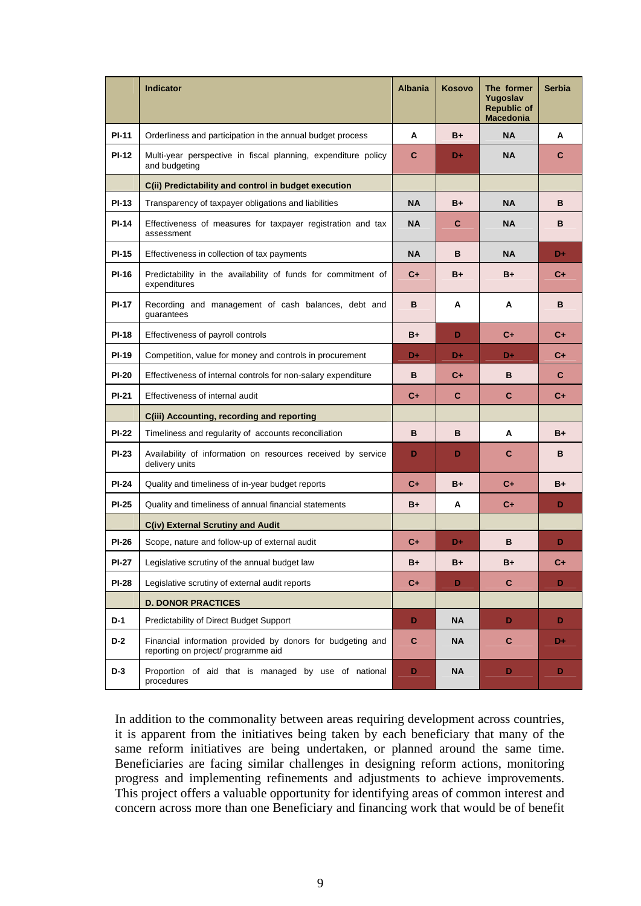|              | <b>Indicator</b>                                                                                  | <b>Albania</b> | <b>Kosovo</b> | The former<br>Yugoslav<br><b>Republic of</b><br><b>Macedonia</b> | <b>Serbia</b> |
|--------------|---------------------------------------------------------------------------------------------------|----------------|---------------|------------------------------------------------------------------|---------------|
| <b>PI-11</b> | Orderliness and participation in the annual budget process                                        | A              | $B+$          | <b>NA</b>                                                        | A             |
| <b>PI-12</b> | Multi-year perspective in fiscal planning, expenditure policy<br>and budgeting                    | C              | D+            | <b>NA</b>                                                        | C             |
|              | C(ii) Predictability and control in budget execution                                              |                |               |                                                                  |               |
| <b>PI-13</b> | Transparency of taxpayer obligations and liabilities                                              | <b>NA</b>      | $B+$          | <b>NA</b>                                                        | в             |
| <b>PI-14</b> | Effectiveness of measures for taxpayer registration and tax<br>assessment                         | <b>NA</b>      | C             | <b>NA</b>                                                        | в             |
| <b>PI-15</b> | Effectiveness in collection of tax payments                                                       | <b>NA</b>      | B             | <b>NA</b>                                                        | D+            |
| <b>PI-16</b> | Predictability in the availability of funds for commitment of<br>expenditures                     | $C_{\pm}$      | $B+$          | $B+$                                                             | $C_{+}$       |
| <b>PI-17</b> | Recording and management of cash balances, debt and<br>guarantees                                 | в              | A             | A                                                                | в             |
| <b>PI-18</b> | Effectiveness of payroll controls                                                                 | $B+$           | D             | $C_{+}$                                                          | $C_{+}$       |
| <b>PI-19</b> | Competition, value for money and controls in procurement                                          | D÷             | D+            | D+                                                               | $C_{+}$       |
| <b>PI-20</b> | Effectiveness of internal controls for non-salary expenditure                                     | в              | $C +$         | в                                                                | $\mathbf{C}$  |
| <b>PI-21</b> | Effectiveness of internal audit                                                                   | $C_{+}$        | C             | C.                                                               | $C_{+}$       |
|              | C(iii) Accounting, recording and reporting                                                        |                |               |                                                                  |               |
| <b>PI-22</b> | Timeliness and regularity of accounts reconciliation                                              | B              | B             | A                                                                | $B+$          |
| <b>PI-23</b> | Availability of information on resources received by service<br>delivery units                    | D              | D             | C                                                                | B             |
| <b>PI-24</b> | Quality and timeliness of in-year budget reports                                                  | $C_{+}$        | $B+$          | $C_{+}$                                                          | $B+$          |
| <b>PI-25</b> | Quality and timeliness of annual financial statements                                             | B+             | А             | $C_{+}$                                                          | D             |
|              | C(iv) External Scrutiny and Audit                                                                 |                |               |                                                                  |               |
| <b>PI-26</b> | Scope, nature and follow-up of external audit                                                     | $C +$          | D+            | в                                                                | D             |
| <b>PI-27</b> | Legislative scrutiny of the annual budget law                                                     | B+             | B+            | B+                                                               | C+            |
| <b>PI-28</b> | Legislative scrutiny of external audit reports                                                    | $C+$           | D             | C                                                                | D             |
|              | <b>D. DONOR PRACTICES</b>                                                                         |                |               |                                                                  |               |
| $D-1$        | Predictability of Direct Budget Support                                                           | D              | NA            | D.                                                               | D.            |
| $D-2$        | Financial information provided by donors for budgeting and<br>reporting on project/ programme aid | C              | NA            | $\mathbf{C}$                                                     | D+            |
| $D-3$        | Proportion of aid that is managed by use of national<br>procedures                                | D              | NA            | D                                                                | D             |

In addition to the commonality between areas requiring development across countries, it is apparent from the initiatives being taken by each beneficiary that many of the same reform initiatives are being undertaken, or planned around the same time. Beneficiaries are facing similar challenges in designing reform actions, monitoring progress and implementing refinements and adjustments to achieve improvements. This project offers a valuable opportunity for identifying areas of common interest and concern across more than one Beneficiary and financing work that would be of benefit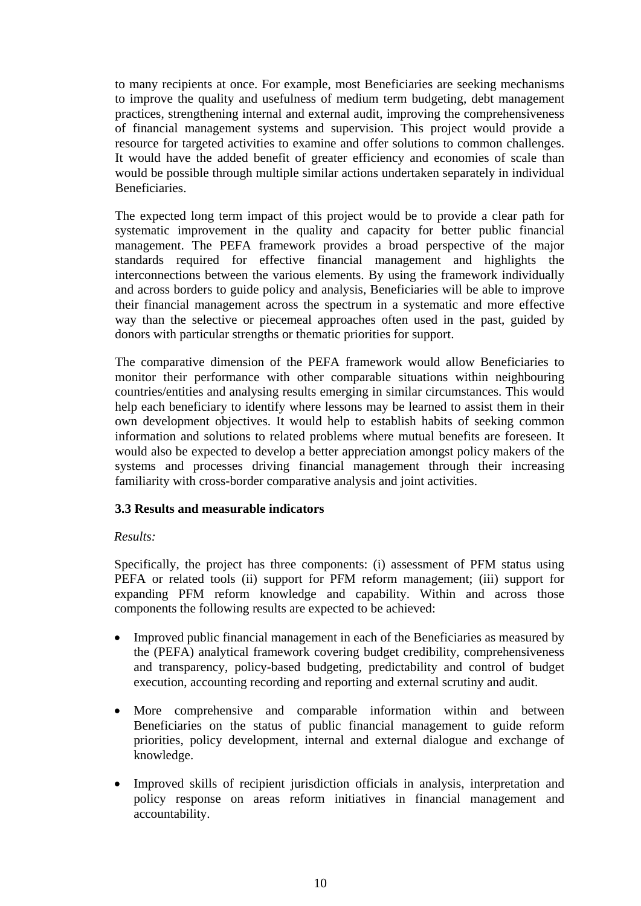to many recipients at once. For example, most Beneficiaries are seeking mechanisms to improve the quality and usefulness of medium term budgeting, debt management practices, strengthening internal and external audit, improving the comprehensiveness of financial management systems and supervision. This project would provide a resource for targeted activities to examine and offer solutions to common challenges. It would have the added benefit of greater efficiency and economies of scale than would be possible through multiple similar actions undertaken separately in individual Beneficiaries.

The expected long term impact of this project would be to provide a clear path for systematic improvement in the quality and capacity for better public financial management. The PEFA framework provides a broad perspective of the major standards required for effective financial management and highlights the interconnections between the various elements. By using the framework individually and across borders to guide policy and analysis, Beneficiaries will be able to improve their financial management across the spectrum in a systematic and more effective way than the selective or piecemeal approaches often used in the past, guided by donors with particular strengths or thematic priorities for support.

The comparative dimension of the PEFA framework would allow Beneficiaries to monitor their performance with other comparable situations within neighbouring countries/entities and analysing results emerging in similar circumstances. This would help each beneficiary to identify where lessons may be learned to assist them in their own development objectives. It would help to establish habits of seeking common information and solutions to related problems where mutual benefits are foreseen. It would also be expected to develop a better appreciation amongst policy makers of the systems and processes driving financial management through their increasing familiarity with cross-border comparative analysis and joint activities.

## **3.3 Results and measurable indicators**

#### *Results:*

Specifically, the project has three components: (i) assessment of PFM status using PEFA or related tools (ii) support for PFM reform management; (iii) support for expanding PFM reform knowledge and capability. Within and across those components the following results are expected to be achieved:

- Improved public financial management in each of the Beneficiaries as measured by the (PEFA) analytical framework covering budget credibility, comprehensiveness and transparency, policy-based budgeting, predictability and control of budget execution, accounting recording and reporting and external scrutiny and audit.
- More comprehensive and comparable information within and between Beneficiaries on the status of public financial management to guide reform priorities, policy development, internal and external dialogue and exchange of knowledge.
- Improved skills of recipient jurisdiction officials in analysis, interpretation and policy response on areas reform initiatives in financial management and accountability.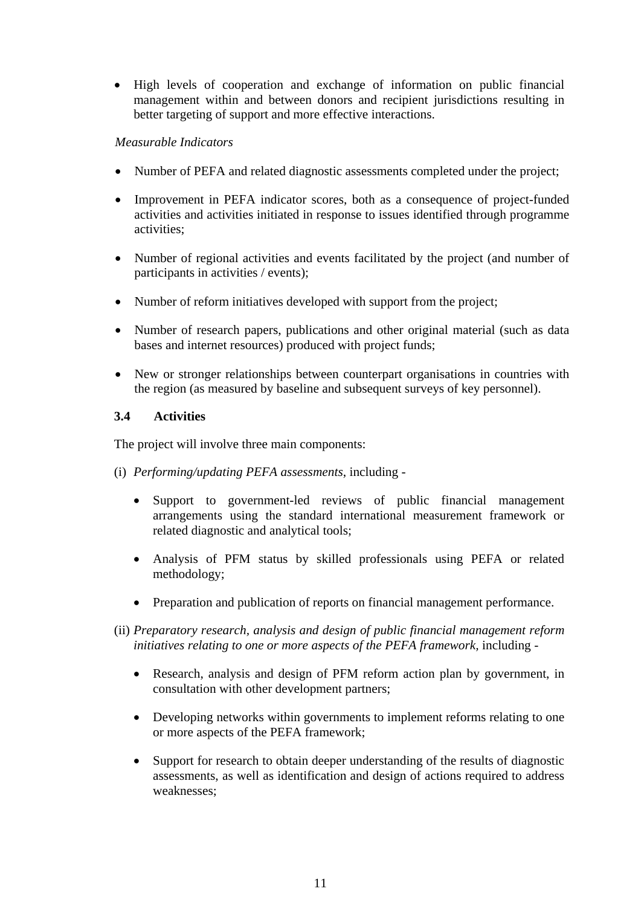• High levels of cooperation and exchange of information on public financial management within and between donors and recipient jurisdictions resulting in better targeting of support and more effective interactions.

#### *Measurable Indicators*

- Number of PEFA and related diagnostic assessments completed under the project;
- Improvement in PEFA indicator scores, both as a consequence of project-funded activities and activities initiated in response to issues identified through programme activities;
- Number of regional activities and events facilitated by the project (and number of participants in activities / events);
- Number of reform initiatives developed with support from the project;
- Number of research papers, publications and other original material (such as data bases and internet resources) produced with project funds;
- New or stronger relationships between counterpart organisations in countries with the region (as measured by baseline and subsequent surveys of key personnel).

#### **3.4 Activities**

The project will involve three main components:

- (i) *Performing/updating PEFA assessments*, including
	- Support to government-led reviews of public financial management arrangements using the standard international measurement framework or related diagnostic and analytical tools;
	- Analysis of PFM status by skilled professionals using PEFA or related methodology;
	- Preparation and publication of reports on financial management performance.
- (ii) *Preparatory research, analysis and design of public financial management reform initiatives relating to one or more aspects of the PEFA framework,* including -
	- Research, analysis and design of PFM reform action plan by government, in consultation with other development partners;
	- Developing networks within governments to implement reforms relating to one or more aspects of the PEFA framework;
	- Support for research to obtain deeper understanding of the results of diagnostic assessments, as well as identification and design of actions required to address weaknesses;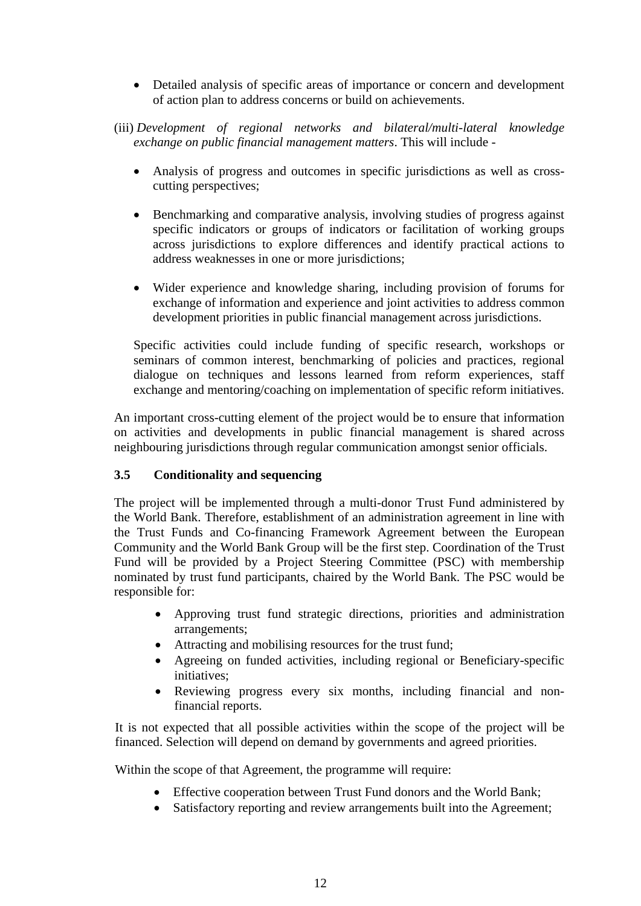- Detailed analysis of specific areas of importance or concern and development of action plan to address concerns or build on achievements.
- (iii) *Development of regional networks and bilateral/multi-lateral knowledge exchange on public financial management matters*. This will include -
	- Analysis of progress and outcomes in specific jurisdictions as well as crosscutting perspectives;
	- Benchmarking and comparative analysis, involving studies of progress against specific indicators or groups of indicators or facilitation of working groups across jurisdictions to explore differences and identify practical actions to address weaknesses in one or more jurisdictions;
	- Wider experience and knowledge sharing, including provision of forums for exchange of information and experience and joint activities to address common development priorities in public financial management across jurisdictions.

Specific activities could include funding of specific research, workshops or seminars of common interest, benchmarking of policies and practices, regional dialogue on techniques and lessons learned from reform experiences, staff exchange and mentoring/coaching on implementation of specific reform initiatives.

An important cross-cutting element of the project would be to ensure that information on activities and developments in public financial management is shared across neighbouring jurisdictions through regular communication amongst senior officials.

## **3.5 Conditionality and sequencing**

The project will be implemented through a multi-donor Trust Fund administered by the World Bank. Therefore, establishment of an administration agreement in line with the Trust Funds and Co-financing Framework Agreement between the European Community and the World Bank Group will be the first step. Coordination of the Trust Fund will be provided by a Project Steering Committee (PSC) with membership nominated by trust fund participants, chaired by the World Bank. The PSC would be responsible for:

- Approving trust fund strategic directions, priorities and administration arrangements;
- Attracting and mobilising resources for the trust fund;
- Agreeing on funded activities, including regional or Beneficiary-specific initiatives;
- Reviewing progress every six months, including financial and nonfinancial reports.

It is not expected that all possible activities within the scope of the project will be financed. Selection will depend on demand by governments and agreed priorities.

Within the scope of that Agreement, the programme will require:

- Effective cooperation between Trust Fund donors and the World Bank;
- Satisfactory reporting and review arrangements built into the Agreement;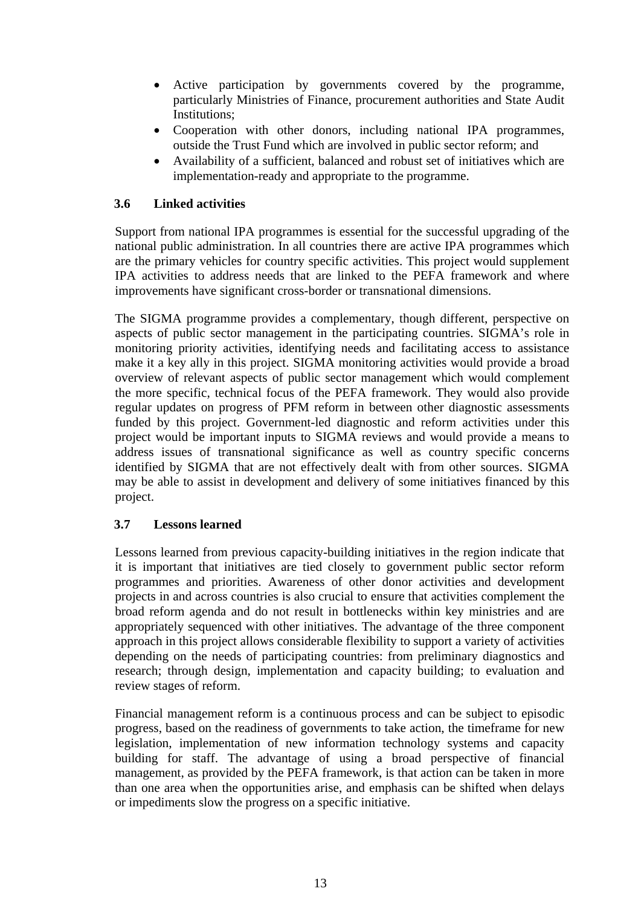- Active participation by governments covered by the programme, particularly Ministries of Finance, procurement authorities and State Audit Institutions;
- Cooperation with other donors, including national IPA programmes, outside the Trust Fund which are involved in public sector reform; and
- Availability of a sufficient, balanced and robust set of initiatives which are implementation-ready and appropriate to the programme.

## **3.6 Linked activities**

Support from national IPA programmes is essential for the successful upgrading of the national public administration. In all countries there are active IPA programmes which are the primary vehicles for country specific activities. This project would supplement IPA activities to address needs that are linked to the PEFA framework and where improvements have significant cross-border or transnational dimensions.

The SIGMA programme provides a complementary, though different, perspective on aspects of public sector management in the participating countries. SIGMA's role in monitoring priority activities, identifying needs and facilitating access to assistance make it a key ally in this project. SIGMA monitoring activities would provide a broad overview of relevant aspects of public sector management which would complement the more specific, technical focus of the PEFA framework. They would also provide regular updates on progress of PFM reform in between other diagnostic assessments funded by this project. Government-led diagnostic and reform activities under this project would be important inputs to SIGMA reviews and would provide a means to address issues of transnational significance as well as country specific concerns identified by SIGMA that are not effectively dealt with from other sources. SIGMA may be able to assist in development and delivery of some initiatives financed by this project.

## **3.7 Lessons learned**

 Lessons learned from previous capacity-building initiatives in the region indicate that it is important that initiatives are tied closely to government public sector reform programmes and priorities. Awareness of other donor activities and development projects in and across countries is also crucial to ensure that activities complement the broad reform agenda and do not result in bottlenecks within key ministries and are appropriately sequenced with other initiatives. The advantage of the three component approach in this project allows considerable flexibility to support a variety of activities depending on the needs of participating countries: from preliminary diagnostics and research; through design, implementation and capacity building; to evaluation and review stages of reform.

Financial management reform is a continuous process and can be subject to episodic progress, based on the readiness of governments to take action, the timeframe for new legislation, implementation of new information technology systems and capacity building for staff. The advantage of using a broad perspective of financial management, as provided by the PEFA framework, is that action can be taken in more than one area when the opportunities arise, and emphasis can be shifted when delays or impediments slow the progress on a specific initiative.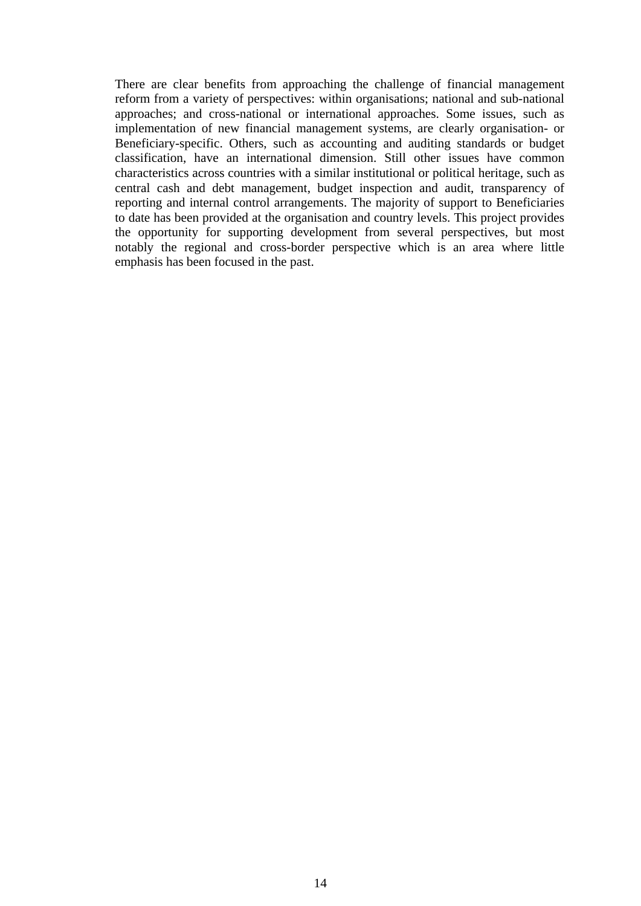There are clear benefits from approaching the challenge of financial management reform from a variety of perspectives: within organisations; national and sub-national approaches; and cross-national or international approaches. Some issues, such as implementation of new financial management systems, are clearly organisation- or Beneficiary-specific. Others, such as accounting and auditing standards or budget classification, have an international dimension. Still other issues have common characteristics across countries with a similar institutional or political heritage, such as central cash and debt management, budget inspection and audit, transparency of reporting and internal control arrangements. The majority of support to Beneficiaries to date has been provided at the organisation and country levels. This project provides the opportunity for supporting development from several perspectives, but most notably the regional and cross-border perspective which is an area where little emphasis has been focused in the past.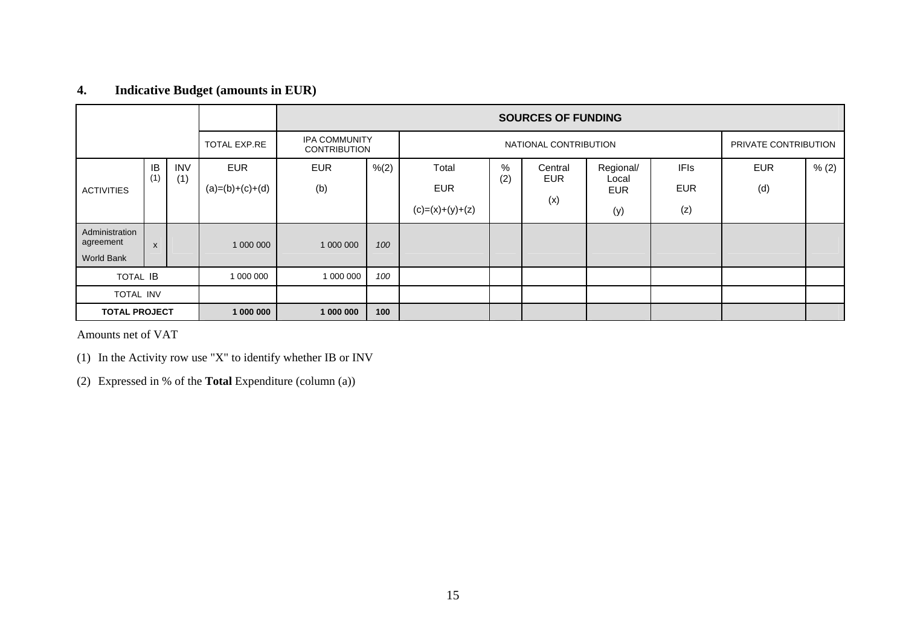## **4. Indicative Budget (amounts in EUR)**

|                             |              |            |                   | <b>SOURCES OF FUNDING</b>            |       |                       |     |            |                     |             |                      |       |
|-----------------------------|--------------|------------|-------------------|--------------------------------------|-------|-----------------------|-----|------------|---------------------|-------------|----------------------|-------|
|                             |              |            | TOTAL EXP.RE      | IPA COMMUNITY<br><b>CONTRIBUTION</b> |       | NATIONAL CONTRIBUTION |     |            |                     |             | PRIVATE CONTRIBUTION |       |
|                             | IB           | <b>INV</b> | <b>EUR</b>        | <b>EUR</b>                           | % (2) | Total                 | %   | Central    | Regional/           | <b>IFIs</b> | <b>EUR</b>           | % (2) |
| <b>ACTIVITIES</b>           | (1)          | (1)        | $(a)=(b)+(c)+(d)$ | (b)                                  |       | <b>EUR</b>            | (2) | <b>EUR</b> | Local<br><b>EUR</b> | <b>EUR</b>  | (d)                  |       |
|                             |              |            |                   |                                      |       | $(c)=(x)+(y)+(z)$     |     | (x)        | (y)                 | (z)         |                      |       |
| Administration<br>agreement | $\mathsf{x}$ |            | 1 000 000         | 1 000 000                            | 100   |                       |     |            |                     |             |                      |       |
| World Bank                  |              |            |                   |                                      |       |                       |     |            |                     |             |                      |       |
| <b>TOTAL IB</b>             |              |            | 1 000 000         | 1 000 000                            | 100   |                       |     |            |                     |             |                      |       |
| TOTAL INV                   |              |            |                   |                                      |       |                       |     |            |                     |             |                      |       |
| <b>TOTAL PROJECT</b>        |              |            | 1 000 000         | 1 000 000                            | 100   |                       |     |            |                     |             |                      |       |

Amounts net of VAT

(1) In the Activity row use "X" to identify whether IB or INV

(2) Expressed in % of the **Total** Expenditure (column (a))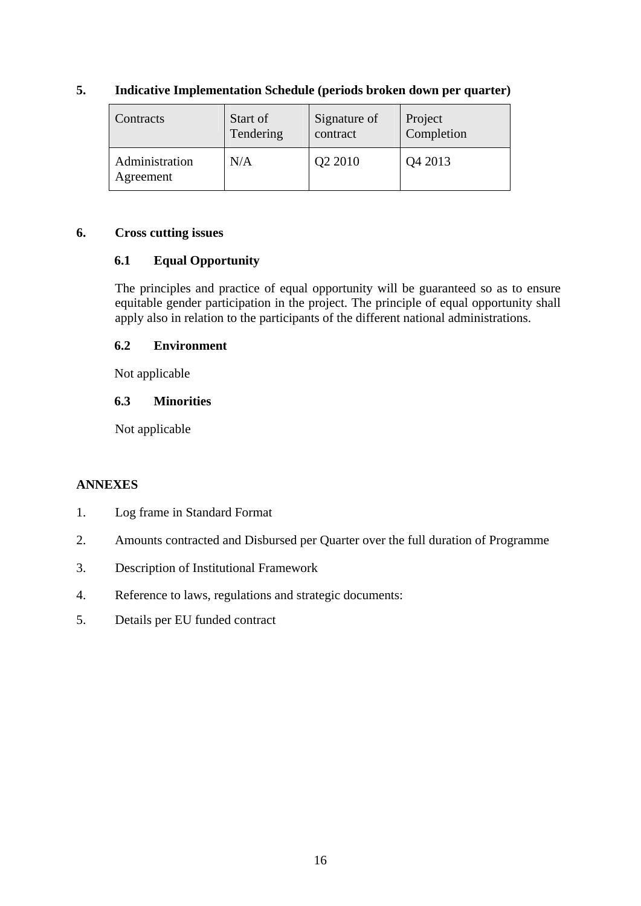| Contracts                   | Start of  | Signature of | Project    |
|-----------------------------|-----------|--------------|------------|
|                             | Tendering | contract     | Completion |
| Administration<br>Agreement | N/A       | Q2 2010      | Q4 2013    |

## **5. Indicative Implementation Schedule (periods broken down per quarter)**

#### **6. Cross cutting issues**

## **6.1 Equal Opportunity**

The principles and practice of equal opportunity will be guaranteed so as to ensure equitable gender participation in the project. The principle of equal opportunity shall apply also in relation to the participants of the different national administrations.

## **6.2 Environment**

Not applicable

## **6.3 Minorities**

Not applicable

## **ANNEXES**

- 1. Log frame in Standard Format
- 2. Amounts contracted and Disbursed per Quarter over the full duration of Programme
- 3. Description of Institutional Framework
- 4. Reference to laws, regulations and strategic documents:
- 5. Details per EU funded contract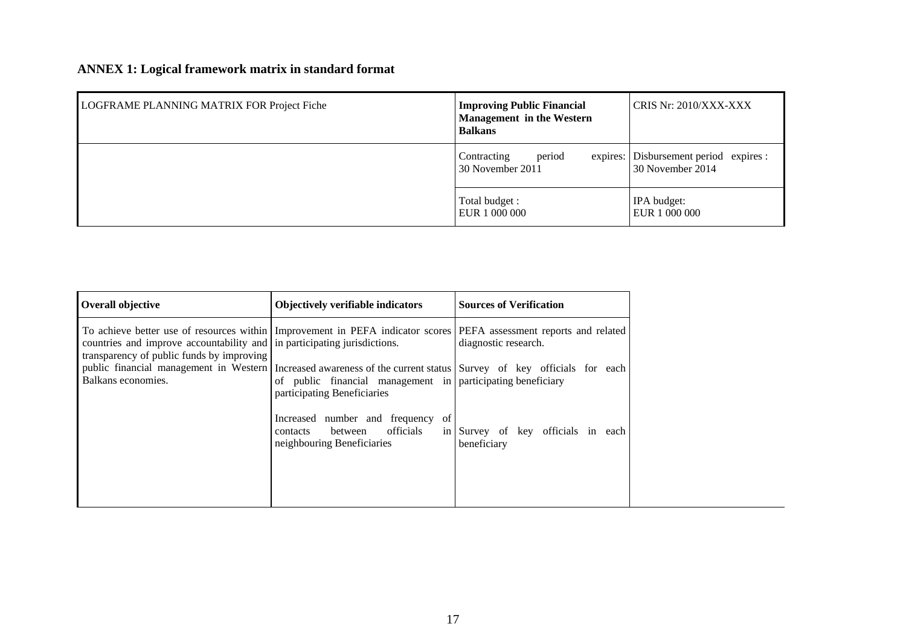# **ANNEX 1: Logical framework matrix in standard format**

| LOGFRAME PLANNING MATRIX FOR Project Fiche | <b>Improving Public Financial</b><br><b>Management</b> in the Western<br><b>Balkans</b> | CRIS Nr: 2010/XXX-XXX                                      |  |
|--------------------------------------------|-----------------------------------------------------------------------------------------|------------------------------------------------------------|--|
|                                            | period<br>Contracting<br>30 November 2011                                               | expires: Disbursement period expires :<br>30 November 2014 |  |
|                                            | Total budget :<br>EUR 1 000 000                                                         | IPA budget:<br>EUR 1 000 000                               |  |

| <b>Overall objective</b>                                                                                                                                                                                                                    | <b>Objectively verifiable indicators</b>                                                                          | <b>Sources of Verification</b>                    |
|---------------------------------------------------------------------------------------------------------------------------------------------------------------------------------------------------------------------------------------------|-------------------------------------------------------------------------------------------------------------------|---------------------------------------------------|
| To achieve better use of resources within Improvement in PEFA indicator scores PEFA assessment reports and related<br>countries and improve accountability and in participating jurisdictions.<br>transparency of public funds by improving |                                                                                                                   | diagnostic research.                              |
| public financial management in Western   Increased awareness of the current status   Survey of key officials for each<br>Balkans economies.                                                                                                 | of public financial management in participating beneficiary<br>participating Beneficiaries                        |                                                   |
|                                                                                                                                                                                                                                             | Increased number and frequency<br><sup>of</sup><br>officials<br>between<br>contacts<br>neighbouring Beneficiaries | in Survey of key officials in each<br>beneficiary |
|                                                                                                                                                                                                                                             |                                                                                                                   |                                                   |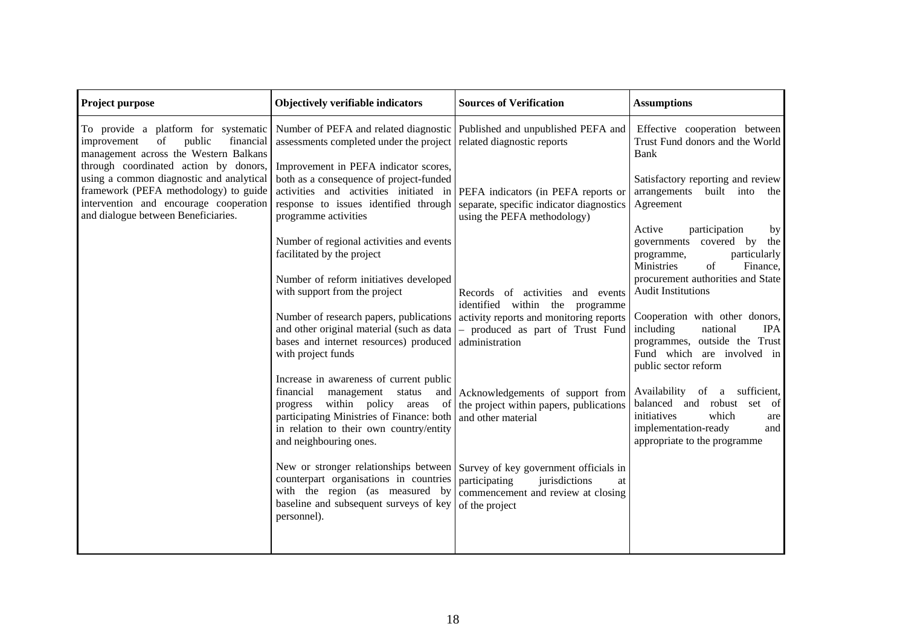| <b>Project purpose</b>                                                                                                                                             | Objectively verifiable indicators                                                                                                                                                                                                               | <b>Sources of Verification</b>                                                                    | <b>Assumptions</b>                                                                                                                                                      |
|--------------------------------------------------------------------------------------------------------------------------------------------------------------------|-------------------------------------------------------------------------------------------------------------------------------------------------------------------------------------------------------------------------------------------------|---------------------------------------------------------------------------------------------------|-------------------------------------------------------------------------------------------------------------------------------------------------------------------------|
| To provide a platform for systematic<br>public<br>improvement<br>of<br>financial<br>management across the Western Balkans<br>through coordinated action by donors, | Number of PEFA and related diagnostic Published and unpublished PEFA and<br>assessments completed under the project<br>Improvement in PEFA indicator scores,                                                                                    | related diagnostic reports                                                                        | Effective cooperation between<br>Trust Fund donors and the World<br>Bank                                                                                                |
| using a common diagnostic and analytical<br>framework (PEFA methodology) to guide<br>intervention and encourage cooperation<br>and dialogue between Beneficiaries. | both as a consequence of project-funded<br>activities and activities initiated in PEFA indicators (in PEFA reports or<br>response to issues identified through<br>programme activities                                                          | separate, specific indicator diagnostics<br>using the PEFA methodology)                           | Satisfactory reporting and review<br>arrangements<br>built into<br>the<br>Agreement                                                                                     |
|                                                                                                                                                                    | Number of regional activities and events<br>facilitated by the project                                                                                                                                                                          |                                                                                                   | Active<br>participation<br>by<br>covered<br>governments<br>by<br>the<br>particularly<br>programme,<br>Ministries<br>of<br>Finance,<br>procurement authorities and State |
|                                                                                                                                                                    | Number of reform initiatives developed<br>with support from the project                                                                                                                                                                         | Records of activities<br>and events<br>identified within the programme                            | <b>Audit Institutions</b>                                                                                                                                               |
|                                                                                                                                                                    | Number of research papers, publications activity reports and monitoring reports<br>and other original material (such as data)<br>bases and internet resources) produced<br>with project funds                                                   | - produced as part of Trust Fund<br>administration                                                | Cooperation with other donors,<br>including<br>national<br><b>IPA</b><br>outside the Trust<br>programmes,<br>Fund which are involved in<br>public sector reform         |
|                                                                                                                                                                    | Increase in awareness of current public<br>financial<br>management<br>status<br>and<br>within policy areas<br>progress<br>-ot<br>participating Ministries of Finance: both<br>in relation to their own country/entity<br>and neighbouring ones. | Acknowledgements of support from<br>the project within papers, publications<br>and other material | Availability<br>of a sufficient,<br>balanced and robust<br>of<br>set<br>initiatives<br>which<br>are<br>implementation-ready<br>and<br>appropriate to the programme      |
|                                                                                                                                                                    | New or stronger relationships between   Survey of key government officials in<br>counterpart organisations in countries<br>with the region (as measured by<br>baseline and subsequent surveys of key<br>personnel).                             | jurisdictions<br>participating<br>at<br>commencement and review at closing<br>of the project      |                                                                                                                                                                         |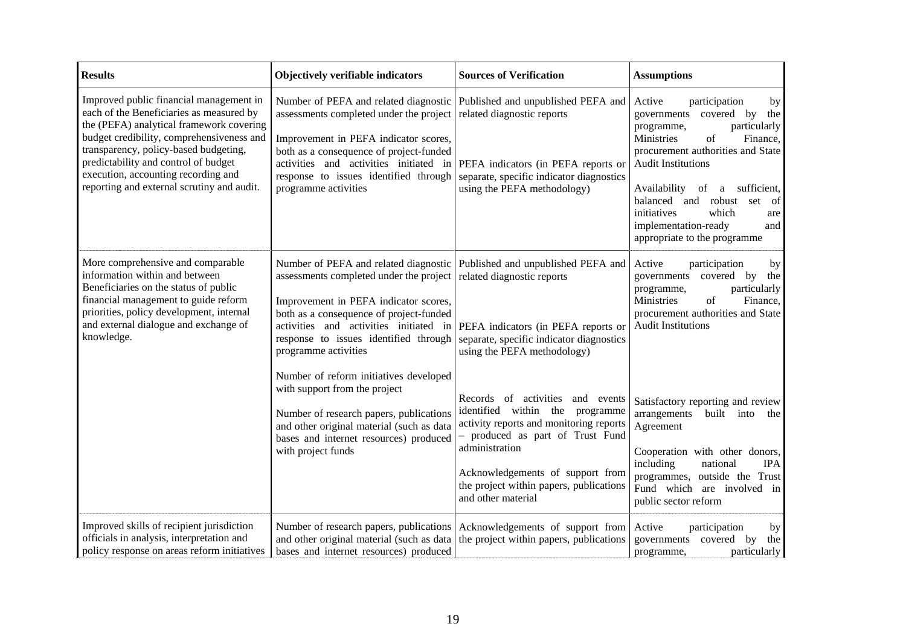| <b>Results</b>                                                                                                                                                                                                                                                                                                                                     | Objectively verifiable indicators                                                                                                                                                                                                                                               | <b>Sources of Verification</b>                                                                                                                                                                                                                                                  | <b>Assumptions</b>                                                                                                                                                                                                                                                                                                                                                     |
|----------------------------------------------------------------------------------------------------------------------------------------------------------------------------------------------------------------------------------------------------------------------------------------------------------------------------------------------------|---------------------------------------------------------------------------------------------------------------------------------------------------------------------------------------------------------------------------------------------------------------------------------|---------------------------------------------------------------------------------------------------------------------------------------------------------------------------------------------------------------------------------------------------------------------------------|------------------------------------------------------------------------------------------------------------------------------------------------------------------------------------------------------------------------------------------------------------------------------------------------------------------------------------------------------------------------|
| Improved public financial management in<br>each of the Beneficiaries as measured by<br>the (PEFA) analytical framework covering<br>budget credibility, comprehensiveness and<br>transparency, policy-based budgeting,<br>predictability and control of budget<br>execution, accounting recording and<br>reporting and external scrutiny and audit. | Number of PEFA and related diagnostic<br>assessments completed under the project<br>Improvement in PEFA indicator scores,<br>both as a consequence of project-funded<br>activities and activities initiated in<br>response to issues identified through<br>programme activities | Published and unpublished PEFA and<br>related diagnostic reports<br>PEFA indicators (in PEFA reports or<br>separate, specific indicator diagnostics<br>using the PEFA methodology)                                                                                              | Active<br>participation<br>by<br>governments covered<br>by<br>the<br>particularly<br>programme,<br>Ministries<br>of<br>Finance,<br>procurement authorities and State<br><b>Audit Institutions</b><br>Availability of a sufficient,<br>balanced and robust<br>set<br>- of<br>which<br>initiatives<br>are<br>implementation-ready<br>and<br>appropriate to the programme |
| More comprehensive and comparable<br>information within and between<br>Beneficiaries on the status of public<br>financial management to guide reform<br>priorities, policy development, internal<br>and external dialogue and exchange of<br>knowledge.                                                                                            | Number of PEFA and related diagnostic<br>assessments completed under the project<br>Improvement in PEFA indicator scores,<br>both as a consequence of project-funded<br>activities and activities initiated in<br>response to issues identified through<br>programme activities | Published and unpublished PEFA and<br>related diagnostic reports<br>PEFA indicators (in PEFA reports or<br>separate, specific indicator diagnostics<br>using the PEFA methodology)                                                                                              | Active<br>participation<br>by<br>covered<br>by<br>governments<br>the<br>programme,<br>particularly<br>Ministries<br>of<br>Finance,<br>procurement authorities and State<br><b>Audit Institutions</b>                                                                                                                                                                   |
|                                                                                                                                                                                                                                                                                                                                                    | Number of reform initiatives developed<br>with support from the project<br>Number of research papers, publications<br>and other original material (such as data<br>bases and internet resources) produced<br>with project funds                                                 | Records of activities<br>and events<br>identified within the<br>programme<br>activity reports and monitoring reports<br>- produced as part of Trust Fund<br>administration<br>Acknowledgements of support from<br>the project within papers, publications<br>and other material | Satisfactory reporting and review<br>arrangements<br>built into<br>the<br>Agreement<br>Cooperation with other donors,<br>including<br>national<br><b>IPA</b><br>programmes, outside the Trust<br>Fund which<br>are involved in<br>public sector reform                                                                                                                 |
| Improved skills of recipient jurisdiction<br>officials in analysis, interpretation and<br>policy response on areas reform initiatives                                                                                                                                                                                                              | Number of research papers, publications<br>and other original material (such as data<br>bases and internet resources) produced                                                                                                                                                  | Acknowledgements of support from<br>the project within papers, publications                                                                                                                                                                                                     | Active<br>participation<br>by<br>covered<br>governments<br>by<br>the<br>particularly<br>programme,                                                                                                                                                                                                                                                                     |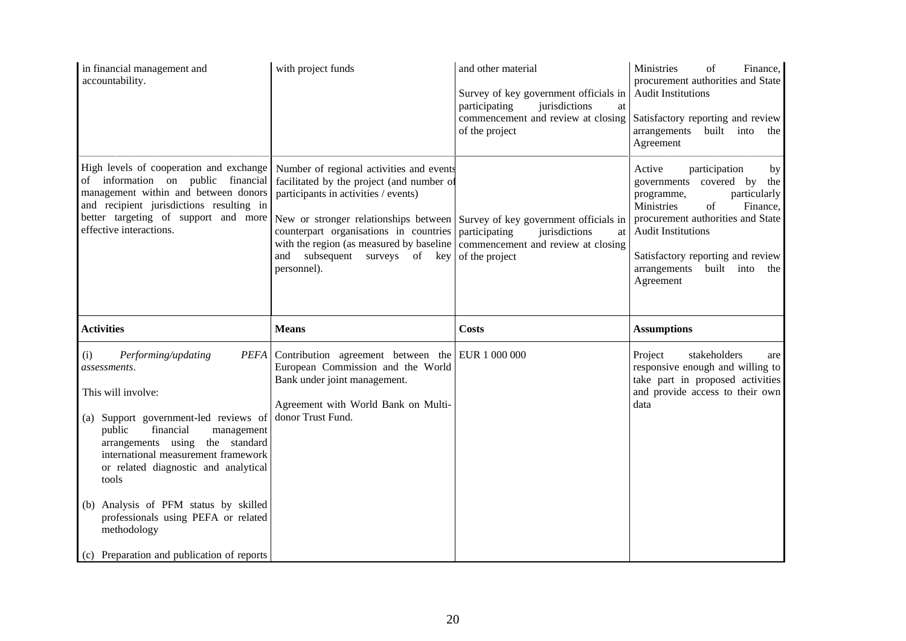| in financial management and<br>accountability.                                                                                                                                                                                                                                                                                                                                                                                           | with project funds                                                                                                                                                                                                                                                                                                                                                                                    | and other material<br>Survey of key government officials in<br>participating<br>jurisdictions<br>at<br>commencement and review at closing<br>of the project | Ministries<br>of<br>Finance,<br>procurement authorities and State<br><b>Audit Institutions</b><br>Satisfactory reporting and review<br>arrangements built into<br>the<br>Agreement                                                                                                 |
|------------------------------------------------------------------------------------------------------------------------------------------------------------------------------------------------------------------------------------------------------------------------------------------------------------------------------------------------------------------------------------------------------------------------------------------|-------------------------------------------------------------------------------------------------------------------------------------------------------------------------------------------------------------------------------------------------------------------------------------------------------------------------------------------------------------------------------------------------------|-------------------------------------------------------------------------------------------------------------------------------------------------------------|------------------------------------------------------------------------------------------------------------------------------------------------------------------------------------------------------------------------------------------------------------------------------------|
| High levels of cooperation and exchange<br>of information on public financial<br>management within and between donors<br>and recipient jurisdictions resulting in<br>better targeting of support and more<br>effective interactions.                                                                                                                                                                                                     | Number of regional activities and events<br>facilitated by the project (and number of<br>participants in activities / events)<br>New or stronger relationships between Survey of key government officials in<br>counterpart organisations in countries participating<br>with the region (as measured by baseline   commencement and review at closing<br>and subsequent surveys of key<br>personnel). | jurisdictions<br><b>at</b><br>of the project                                                                                                                | Active<br>participation<br>by<br>governments covered by<br>the<br>particularly<br>programme,<br>Ministries<br>of<br>Finance,<br>procurement authorities and State<br><b>Audit Institutions</b><br>Satisfactory reporting and review<br>arrangements built into<br>the<br>Agreement |
| <b>Activities</b>                                                                                                                                                                                                                                                                                                                                                                                                                        | <b>Means</b>                                                                                                                                                                                                                                                                                                                                                                                          | <b>Costs</b>                                                                                                                                                | <b>Assumptions</b>                                                                                                                                                                                                                                                                 |
| <b>PEFA</b><br>Performing/updating<br>(i)<br>assessments.<br>This will involve:<br>Support government-led reviews of<br>(a)<br>public<br>financial<br>management<br>arrangements using the standard<br>international measurement framework<br>or related diagnostic and analytical<br>tools<br>(b) Analysis of PFM status by skilled<br>professionals using PEFA or related<br>methodology<br>(c) Preparation and publication of reports | Contribution agreement between the EUR $1\,000\,000$<br>European Commission and the World<br>Bank under joint management.<br>Agreement with World Bank on Multi-<br>donor Trust Fund.                                                                                                                                                                                                                 |                                                                                                                                                             | stakeholders<br>Project<br>are<br>responsive enough and willing to<br>take part in proposed activities<br>and provide access to their own<br>data                                                                                                                                  |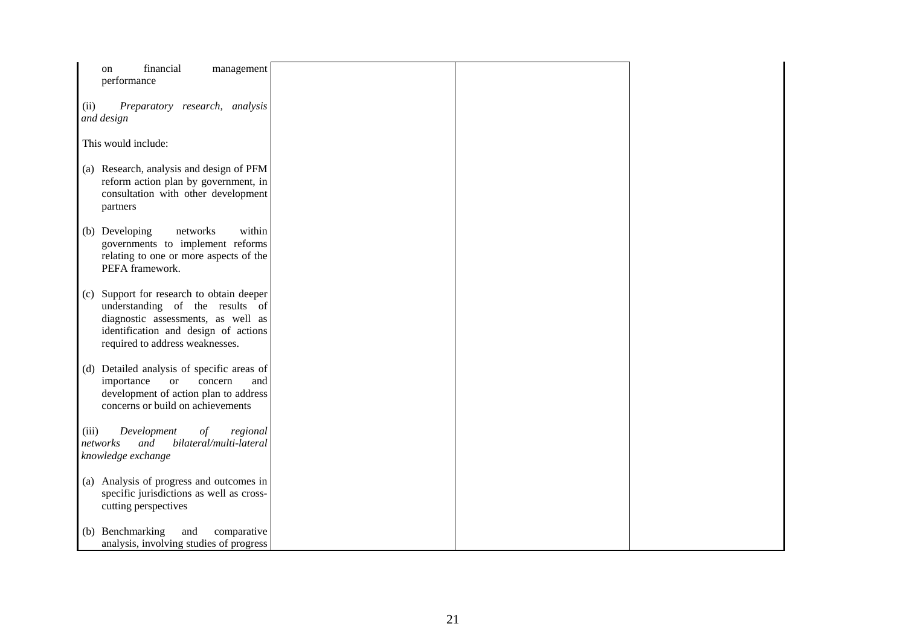| financial<br>management<br>on<br>performance                                                                                                                                                     |  |  |
|--------------------------------------------------------------------------------------------------------------------------------------------------------------------------------------------------|--|--|
| Preparatory research, analysis<br>(ii)<br>and design                                                                                                                                             |  |  |
| This would include:                                                                                                                                                                              |  |  |
| (a) Research, analysis and design of PFM<br>reform action plan by government, in<br>consultation with other development<br>partners                                                              |  |  |
| (b) Developing<br>within<br>networks<br>governments to implement reforms<br>relating to one or more aspects of the<br>PEFA framework.                                                            |  |  |
| Support for research to obtain deeper<br>(c)<br>understanding of the results of<br>diagnostic assessments, as well as<br>identification and design of actions<br>required to address weaknesses. |  |  |
| (d) Detailed analysis of specific areas of<br>importance<br>concern<br><b>or</b><br>and<br>development of action plan to address<br>concerns or build on achievements                            |  |  |
| Development<br>(iii)<br>$\sigma f$<br>regional<br>bilateral/multi-lateral<br>networks<br>and<br>knowledge exchange                                                                               |  |  |
| (a) Analysis of progress and outcomes in<br>specific jurisdictions as well as cross-<br>cutting perspectives                                                                                     |  |  |
| (b) Benchmarking<br>and<br>comparative<br>analysis, involving studies of progress                                                                                                                |  |  |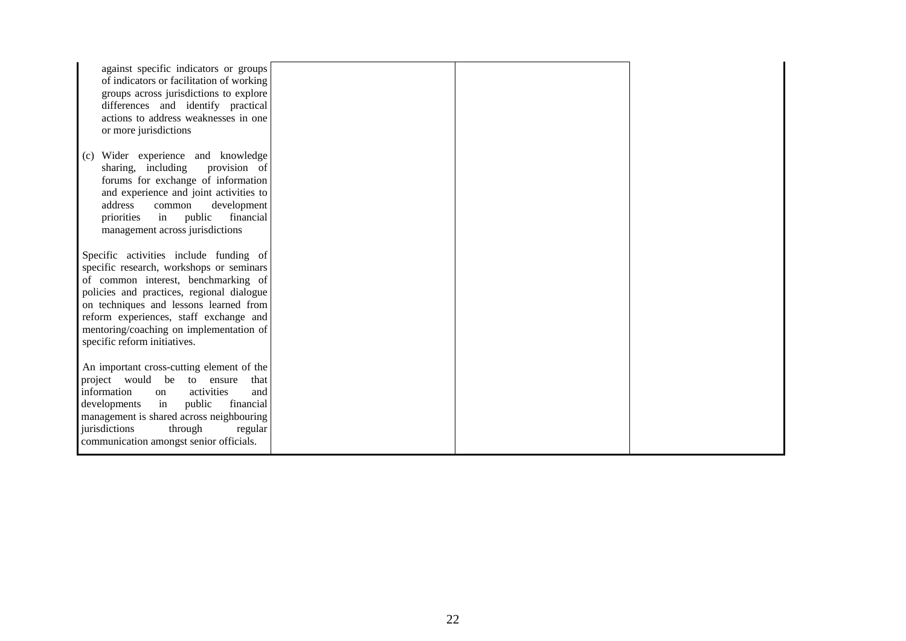| against specific indicators or groups<br>of indicators or facilitation of working<br>groups across jurisdictions to explore<br>differences and identify practical<br>actions to address weaknesses in one<br>or more jurisdictions                                                                                                    |  |  |
|---------------------------------------------------------------------------------------------------------------------------------------------------------------------------------------------------------------------------------------------------------------------------------------------------------------------------------------|--|--|
| Wider experience and knowledge<br>(c)<br>provision of<br>sharing, including<br>forums for exchange of information<br>and experience and joint activities to<br>address<br>common<br>development<br>public<br>financial<br>priorities<br>in<br>management across jurisdictions                                                         |  |  |
| Specific activities include funding of<br>specific research, workshops or seminars<br>of common interest, benchmarking of<br>policies and practices, regional dialogue<br>on techniques and lessons learned from<br>reform experiences, staff exchange and<br>mentoring/coaching on implementation of<br>specific reform initiatives. |  |  |
| An important cross-cutting element of the<br>project would be to ensure<br>that<br>activities<br>information<br>and<br>on<br>public<br>developments<br>in<br>financial<br>management is shared across neighbouring<br>jurisdictions<br>through<br>regular<br>communication amongst senior officials.                                  |  |  |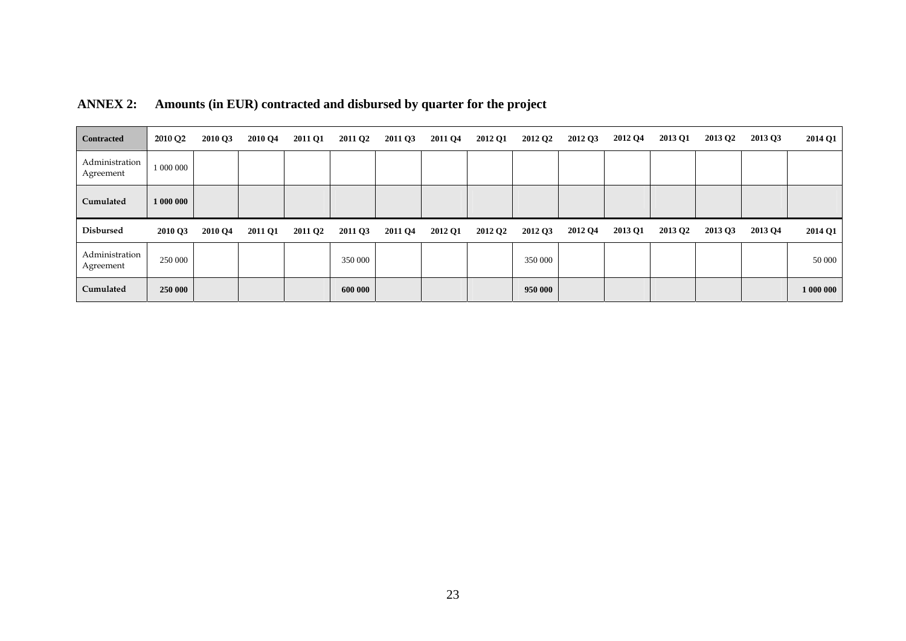| <b>Contracted</b>           | 2010 Q2   | 2010 Q3 | 2010 Q4 | <b>2011 Q1</b>      | 2011 Q <sub>2</sub> | 2011 Q3 | 2011 Q4 | <b>2012 Q1</b>      | 2012 Q <sub>2</sub> | 2012 Q3 | 2012 Q4 | 2013 Q1             | 2013 Q <sub>2</sub> | 2013 Q3 | <b>2014 Q1</b> |
|-----------------------------|-----------|---------|---------|---------------------|---------------------|---------|---------|---------------------|---------------------|---------|---------|---------------------|---------------------|---------|----------------|
| Administration<br>Agreement | 1 000 000 |         |         |                     |                     |         |         |                     |                     |         |         |                     |                     |         |                |
| Cumulated                   | 1 000 000 |         |         |                     |                     |         |         |                     |                     |         |         |                     |                     |         |                |
| <b>Disbursed</b>            | 2010 Q3   | 2010 Q4 | 2011 Q1 | 2011 Q <sub>2</sub> | 2011 Q3             | 2011 Q4 | 2012 Q1 | 2012 Q <sub>2</sub> | 2012 Q3             | 2012 Q4 | 2013 Q1 | 2013 Q <sub>2</sub> | 2013 Q3             | 2013 Q4 | 2014 Q1        |
|                             |           |         |         |                     |                     |         |         |                     |                     |         |         |                     |                     |         |                |
| Administration<br>Agreement | 250 000   |         |         |                     | 350 000             |         |         |                     | 350 000             |         |         |                     |                     |         | 50 000         |

# **ANNEX 2: Amounts (in EUR) contracted and disbursed by quarter for the project**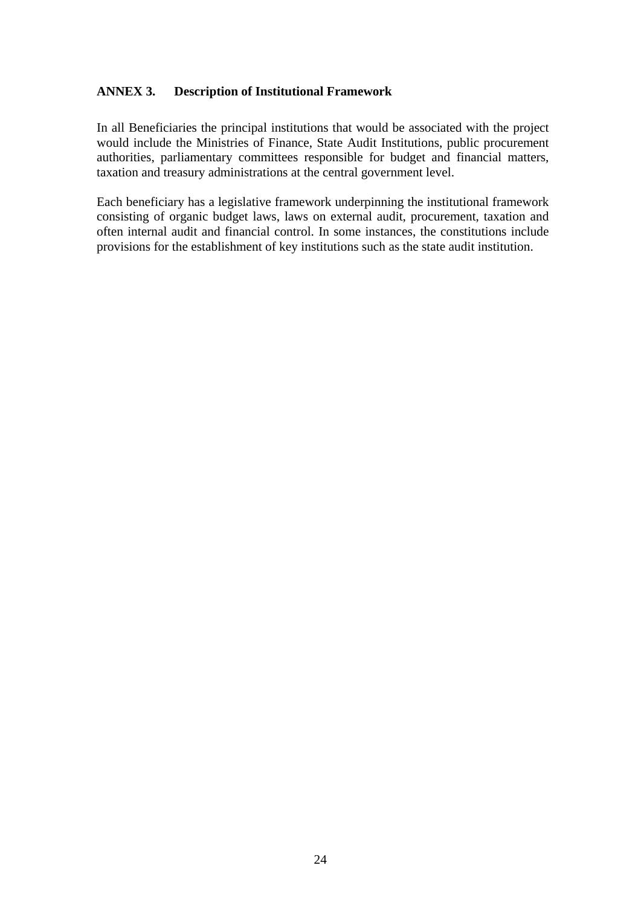#### **ANNEX 3. Description of Institutional Framework**

In all Beneficiaries the principal institutions that would be associated with the project would include the Ministries of Finance, State Audit Institutions, public procurement authorities, parliamentary committees responsible for budget and financial matters, taxation and treasury administrations at the central government level.

Each beneficiary has a legislative framework underpinning the institutional framework consisting of organic budget laws, laws on external audit, procurement, taxation and often internal audit and financial control. In some instances, the constitutions include provisions for the establishment of key institutions such as the state audit institution.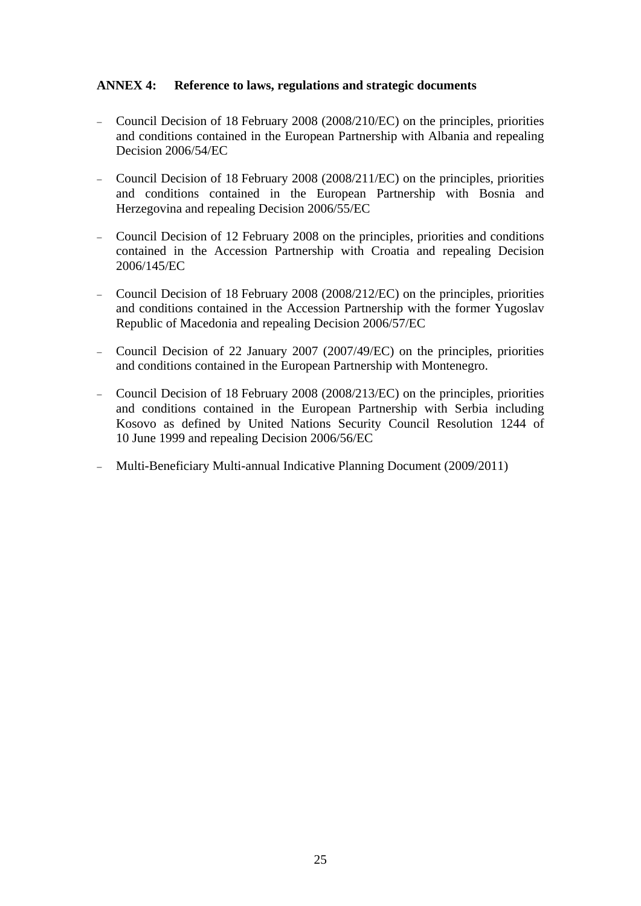#### **ANNEX 4: Reference to laws, regulations and strategic documents**

- − Council Decision of 18 February 2008 (2008/210/EC) on the principles, priorities and conditions contained in the European Partnership with Albania and repealing Decision 2006/54/EC
- − Council Decision of 18 February 2008 (2008/211/EC) on the principles, priorities and conditions contained in the European Partnership with Bosnia and Herzegovina and repealing Decision 2006/55/EC
- − Council Decision of 12 February 2008 on the principles, priorities and conditions contained in the Accession Partnership with Croatia and repealing Decision 2006/145/EC
- − Council Decision of 18 February 2008 (2008/212/EC) on the principles, priorities and conditions contained in the Accession Partnership with the former Yugoslav Republic of Macedonia and repealing Decision 2006/57/EC
- − Council Decision of 22 January 2007 (2007/49/EC) on the principles, priorities and conditions contained in the European Partnership with Montenegro.
- − Council Decision of 18 February 2008 (2008/213/EC) on the principles, priorities and conditions contained in the European Partnership with Serbia including Kosovo as defined by United Nations Security Council Resolution 1244 of 10 June 1999 and repealing Decision 2006/56/EC
- − Multi-Beneficiary Multi-annual Indicative Planning Document (2009/2011)